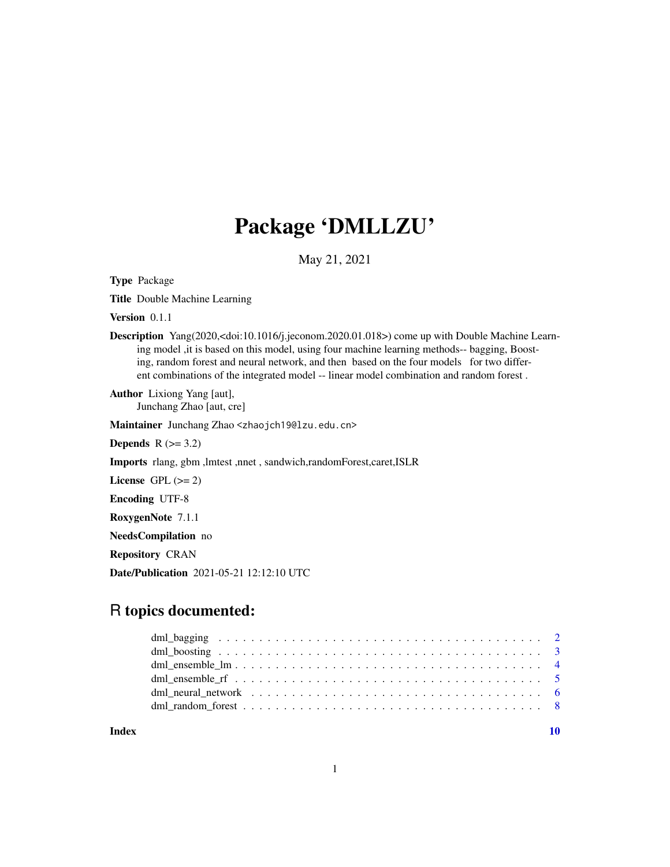## Package 'DMLLZU'

May 21, 2021

<span id="page-0-0"></span>Type Package

Title Double Machine Learning

Version 0.1.1

Description Yang(2020,<doi:10.1016/j.jeconom.2020.01.018>) come up with Double Machine Learning model ,it is based on this model, using four machine learning methods-- bagging, Boosting, random forest and neural network, and then based on the four models for two different combinations of the integrated model -- linear model combination and random forest .

Author Lixiong Yang [aut], Junchang Zhao [aut, cre]

Maintainer Junchang Zhao <zhaojch19@lzu.edu.cn>

**Depends**  $R$  ( $>= 3.2$ )

Imports rlang, gbm ,lmtest ,nnet , sandwich,randomForest,caret,ISLR

License GPL  $(>= 2)$ 

Encoding UTF-8

RoxygenNote 7.1.1

NeedsCompilation no

Repository CRAN

Date/Publication 2021-05-21 12:12:10 UTC

### R topics documented:

| dml neural network $\dots \dots \dots \dots \dots \dots \dots \dots \dots \dots \dots \dots \dots \dots \dots \dots$ |  |
|----------------------------------------------------------------------------------------------------------------------|--|
|                                                                                                                      |  |
|                                                                                                                      |  |

 $\blacksquare$ 

1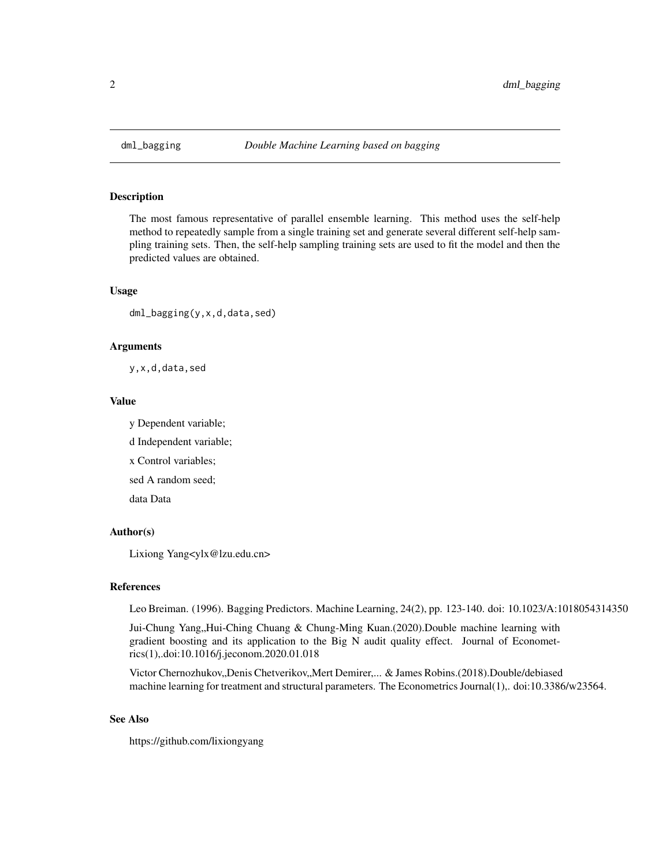<span id="page-1-0"></span>

#### Description

The most famous representative of parallel ensemble learning. This method uses the self-help method to repeatedly sample from a single training set and generate several different self-help sampling training sets. Then, the self-help sampling training sets are used to fit the model and then the predicted values are obtained.

#### Usage

dml\_bagging(y,x,d,data,sed)

#### Arguments

y,x,d,data,sed

#### Value

y Dependent variable;

d Independent variable;

x Control variables;

sed A random seed;

data Data

#### Author(s)

Lixiong Yang<ylx@lzu.edu.cn>

#### References

Leo Breiman. (1996). Bagging Predictors. Machine Learning, 24(2), pp. 123-140. doi: 10.1023/A:1018054314350

Jui-Chung Yang,,Hui-Ching Chuang & Chung-Ming Kuan.(2020).Double machine learning with gradient boosting and its application to the Big N audit quality effect. Journal of Econometrics(1),.doi:10.1016/j.jeconom.2020.01.018

Victor Chernozhukov,,Denis Chetverikov,,Mert Demirer,... & James Robins.(2018).Double/debiased machine learning for treatment and structural parameters. The Econometrics Journal(1),. doi:10.3386/w23564.

#### See Also

https://github.com/lixiongyang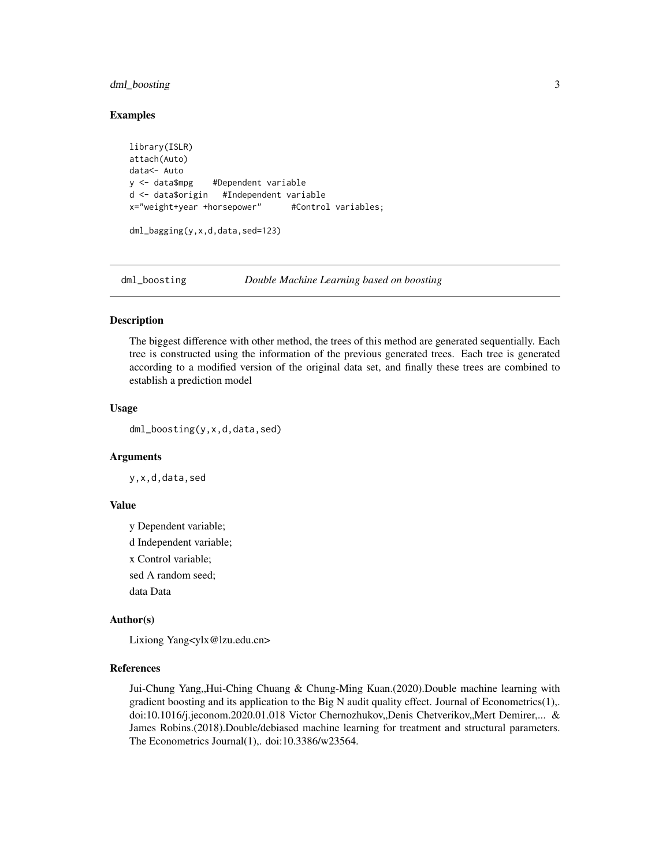#### <span id="page-2-0"></span>dml\_boosting 3

#### Examples

library(ISLR) attach(Auto) data<- Auto y <- data\$mpg #Dependent variable d <- data\$origin #Independent variable x="weight+year +horsepower" #Control variables;

dml\_bagging(y,x,d,data,sed=123)

dml\_boosting *Double Machine Learning based on boosting*

#### **Description**

The biggest difference with other method, the trees of this method are generated sequentially. Each tree is constructed using the information of the previous generated trees. Each tree is generated according to a modified version of the original data set, and finally these trees are combined to establish a prediction model

#### Usage

dml\_boosting(y,x,d,data,sed)

#### Arguments

y,x,d,data,sed

#### Value

y Dependent variable; d Independent variable; x Control variable; sed A random seed; data Data

#### Author(s)

Lixiong Yang<ylx@lzu.edu.cn>

#### References

Jui-Chung Yang,,Hui-Ching Chuang & Chung-Ming Kuan.(2020).Double machine learning with gradient boosting and its application to the Big N audit quality effect. Journal of Econometrics $(1)$ ,. doi:10.1016/j.jeconom.2020.01.018 Victor Chernozhukov, Denis Chetverikov, Mert Demirer,... & James Robins.(2018).Double/debiased machine learning for treatment and structural parameters. The Econometrics Journal(1),. doi:10.3386/w23564.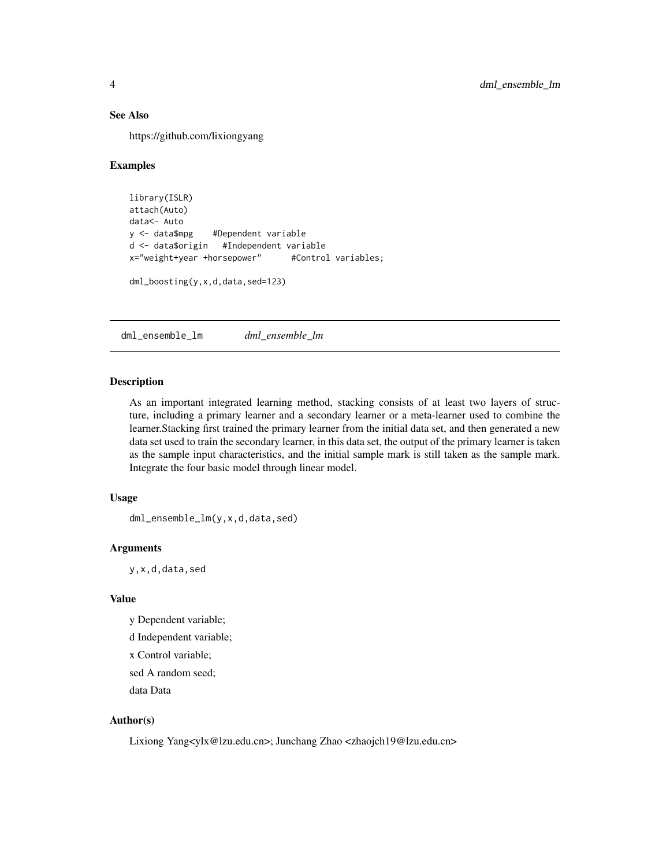#### <span id="page-3-0"></span>See Also

https://github.com/lixiongyang

#### Examples

```
library(ISLR)
attach(Auto)
data<- Auto
y <- data$mpg #Dependent variable
d <- data$origin #Independent variable
x="weight+year +horsepower" #Control variables;
```

```
dml_boosting(y,x,d,data,sed=123)
```
dml\_ensemble\_lm *dml\_ensemble\_lm*

#### Description

As an important integrated learning method, stacking consists of at least two layers of structure, including a primary learner and a secondary learner or a meta-learner used to combine the learner.Stacking first trained the primary learner from the initial data set, and then generated a new data set used to train the secondary learner, in this data set, the output of the primary learner is taken as the sample input characteristics, and the initial sample mark is still taken as the sample mark. Integrate the four basic model through linear model.

#### Usage

dml\_ensemble\_lm(y,x,d,data,sed)

#### Arguments

y,x,d,data,sed

#### Value

y Dependent variable; d Independent variable; x Control variable; sed A random seed; data Data

#### Author(s)

Lixiong Yang<ylx@lzu.edu.cn>; Junchang Zhao <zhaojch19@lzu.edu.cn>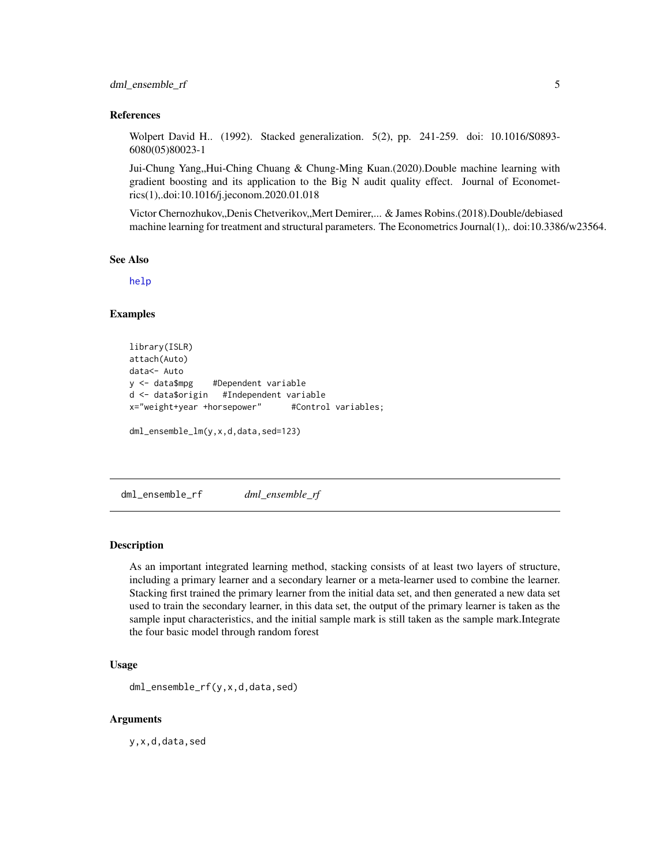#### <span id="page-4-0"></span>dml\_ensemble\_rf 5

#### References

Wolpert David H.. (1992). Stacked generalization. 5(2), pp. 241-259. doi: 10.1016/S0893- 6080(05)80023-1

Jui-Chung Yang,,Hui-Ching Chuang & Chung-Ming Kuan.(2020).Double machine learning with gradient boosting and its application to the Big N audit quality effect. Journal of Econometrics(1),.doi:10.1016/j.jeconom.2020.01.018

Victor Chernozhukov,,Denis Chetverikov,,Mert Demirer,... & James Robins.(2018).Double/debiased machine learning for treatment and structural parameters. The Econometrics Journal(1), doi:10.3386/w23564.

#### See Also

[help](#page-0-0)

#### Examples

```
library(ISLR)
attach(Auto)
data<- Auto
y <- data$mpg #Dependent variable
d <- data$origin #Independent variable
x="weight+year +horsepower" #Control variables;
dml_ensemble_lm(y,x,d,data,sed=123)
```
dml\_ensemble\_rf *dml\_ensemble\_rf*

#### Description

As an important integrated learning method, stacking consists of at least two layers of structure, including a primary learner and a secondary learner or a meta-learner used to combine the learner. Stacking first trained the primary learner from the initial data set, and then generated a new data set used to train the secondary learner, in this data set, the output of the primary learner is taken as the sample input characteristics, and the initial sample mark is still taken as the sample mark.Integrate the four basic model through random forest

#### Usage

```
dml_ensemble_rf(y,x,d,data,sed)
```
#### Arguments

y,x,d,data,sed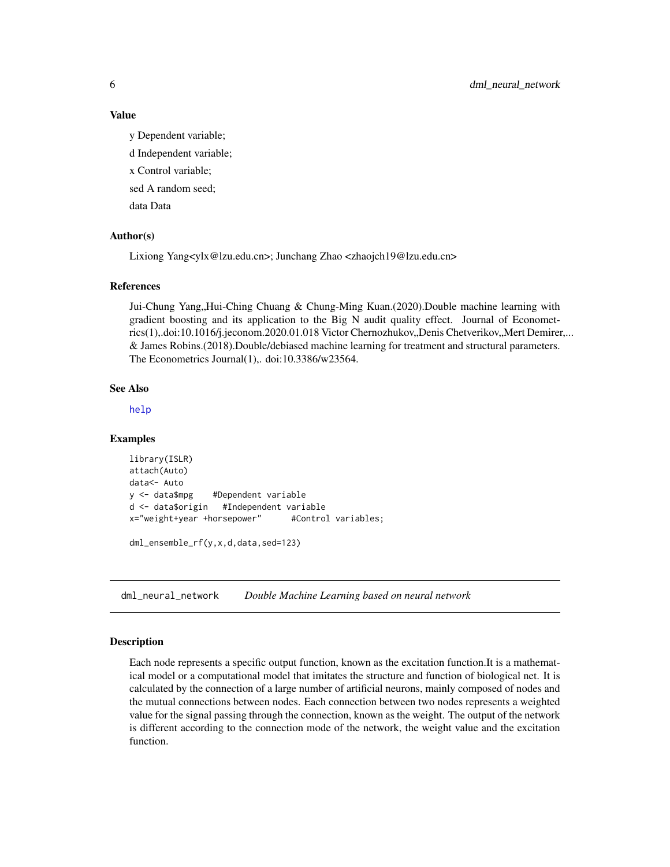#### Value

y Dependent variable;

d Independent variable;

x Control variable;

sed A random seed;

data Data

#### Author(s)

Lixiong Yang<ylx@lzu.edu.cn>; Junchang Zhao <zhaojch19@lzu.edu.cn>

#### References

Jui-Chung Yang,,Hui-Ching Chuang & Chung-Ming Kuan.(2020).Double machine learning with gradient boosting and its application to the Big N audit quality effect. Journal of Econometrics(1),.doi:10.1016/j.jeconom.2020.01.018 Victor Chernozhukov,,Denis Chetverikov,,Mert Demirer,... & James Robins.(2018).Double/debiased machine learning for treatment and structural parameters. The Econometrics Journal(1),. doi:10.3386/w23564.

#### See Also

[help](#page-0-0)

#### Examples

```
library(ISLR)
attach(Auto)
data<- Auto
y <- data$mpg #Dependent variable
d <- data$origin #Independent variable
x="weight+year +horsepower" #Control variables;
```
dml\_ensemble\_rf(y,x,d,data,sed=123)

dml\_neural\_network *Double Machine Learning based on neural network*

#### **Description**

Each node represents a specific output function, known as the excitation function.It is a mathematical model or a computational model that imitates the structure and function of biological net. It is calculated by the connection of a large number of artificial neurons, mainly composed of nodes and the mutual connections between nodes. Each connection between two nodes represents a weighted value for the signal passing through the connection, known as the weight. The output of the network is different according to the connection mode of the network, the weight value and the excitation function.

<span id="page-5-0"></span>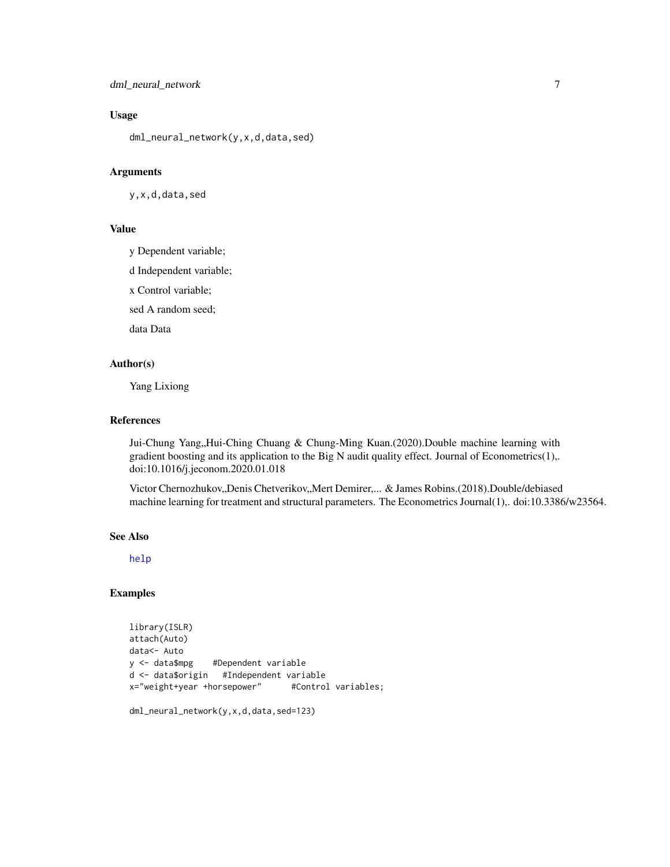#### <span id="page-6-0"></span>dml\_neural\_network 7

#### Usage

dml\_neural\_network(y,x,d,data,sed)

#### Arguments

y,x,d,data,sed

#### Value

y Dependent variable;

d Independent variable;

x Control variable;

sed A random seed;

data Data

#### Author(s)

Yang Lixiong

#### References

Jui-Chung Yang,,Hui-Ching Chuang & Chung-Ming Kuan.(2020).Double machine learning with gradient boosting and its application to the Big N audit quality effect. Journal of Econometrics(1),. doi:10.1016/j.jeconom.2020.01.018

Victor Chernozhukov, Denis Chetverikov, Mert Demirer,... & James Robins.(2018).Double/debiased machine learning for treatment and structural parameters. The Econometrics Journal(1),. doi:10.3386/w23564.

#### See Also

[help](#page-0-0)

#### Examples

```
library(ISLR)
attach(Auto)
data<- Auto
y <- data$mpg #Dependent variable
d <- data$origin #Independent variable
x="weight+year +horsepower" #Control variables;
```

```
dml_neural_network(y,x,d,data,sed=123)
```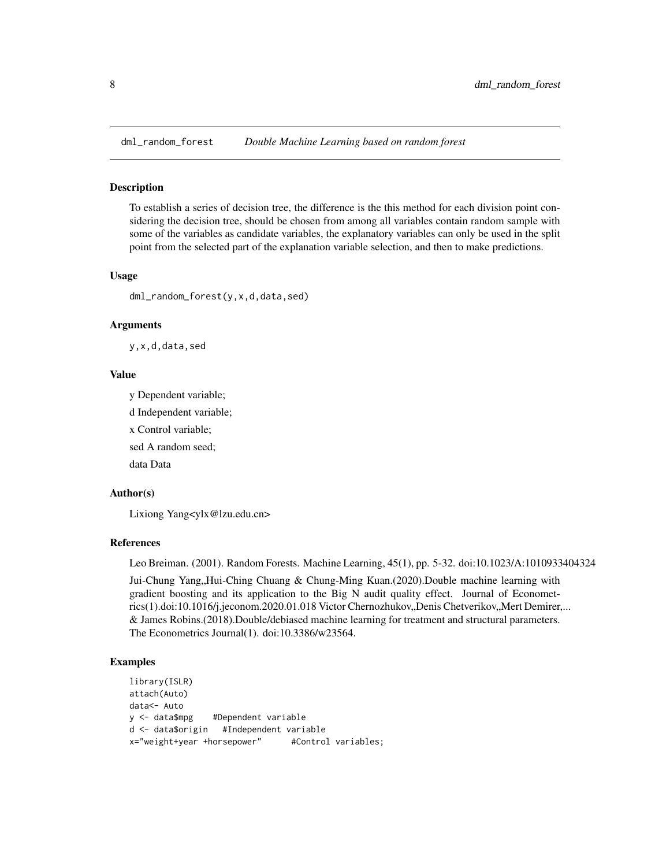<span id="page-7-0"></span>

#### Description

To establish a series of decision tree, the difference is the this method for each division point considering the decision tree, should be chosen from among all variables contain random sample with some of the variables as candidate variables, the explanatory variables can only be used in the split point from the selected part of the explanation variable selection, and then to make predictions.

#### Usage

dml\_random\_forest(y,x,d,data,sed)

#### Arguments

y,x,d,data,sed

#### Value

y Dependent variable;

d Independent variable;

x Control variable;

sed A random seed;

data Data

#### Author(s)

Lixiong Yang<ylx@lzu.edu.cn>

#### References

Leo Breiman. (2001). Random Forests. Machine Learning, 45(1), pp. 5-32. doi:10.1023/A:1010933404324

Jui-Chung Yang, Hui-Ching Chuang & Chung-Ming Kuan.(2020).Double machine learning with gradient boosting and its application to the Big N audit quality effect. Journal of Econometrics(1).doi:10.1016/j.jeconom.2020.01.018 Victor Chernozhukov,,Denis Chetverikov,,Mert Demirer,... & James Robins.(2018).Double/debiased machine learning for treatment and structural parameters. The Econometrics Journal(1). doi:10.3386/w23564.

#### Examples

library(ISLR) attach(Auto) data<- Auto y <- data\$mpg #Dependent variable d <- data\$origin #Independent variable x="weight+year +horsepower" #Control variables;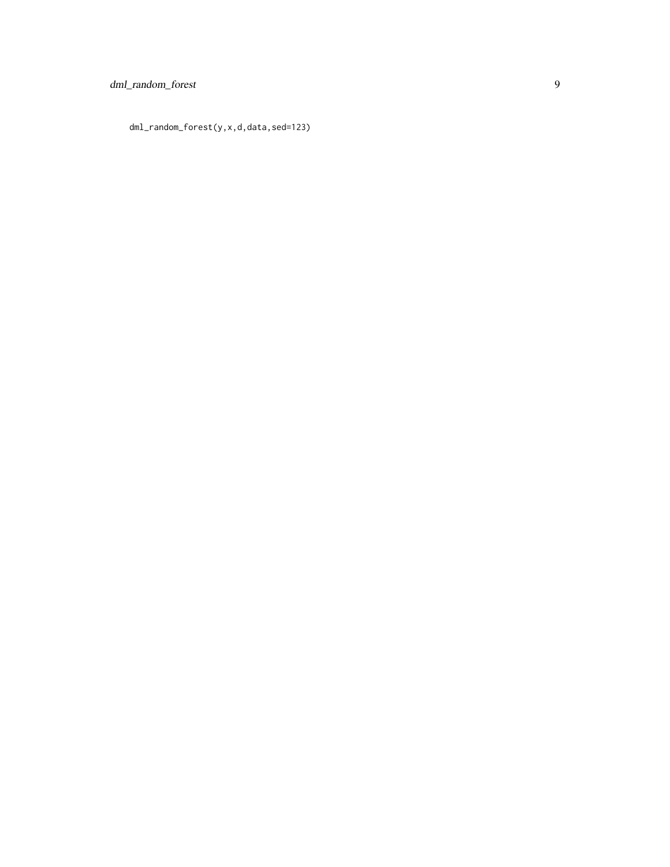dml\_random\_forest(y,x,d,data,sed=123)